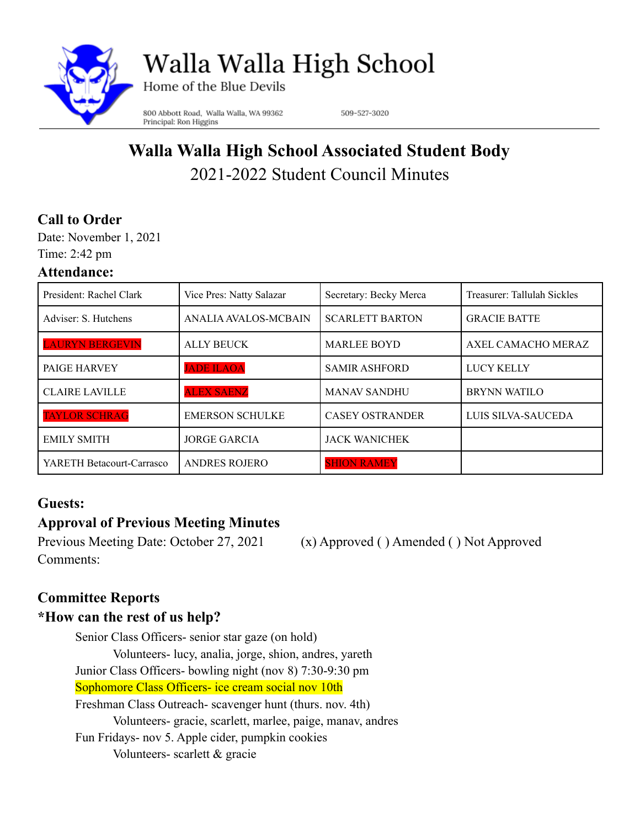

Walla Walla High School

Home of the Blue Devils

800 Abbott Road, Walla Walla, WA 99362 Principal: Ron Higgins

509-527-3020

# **Walla Walla High School Associated Student Body** 2021-2022 Student Council Minutes

### **Call to Order**

Date: November 1, 2021 Time: 2:42 pm

#### **Attendance:**

| President: Rachel Clark   | Vice Pres: Natty Salazar | Secretary: Becky Merca | Treasurer: Tallulah Sickles |
|---------------------------|--------------------------|------------------------|-----------------------------|
| Adviser: S. Hutchens      | ANALIA AVALOS-MCBAIN     | <b>SCARLETT BARTON</b> | <b>GRACIE BATTE</b>         |
| <b>LAURYN BERGEVIN</b>    | <b>ALLY BEUCK</b>        | <b>MARLEE BOYD</b>     | AXEL CAMACHO MERAZ          |
| PAIGE HARVEY              | <b>JADE ILAOA</b>        | <b>SAMIR ASHFORD</b>   | <b>LUCY KELLY</b>           |
| <b>CLAIRE LAVILLE</b>     | <b>ALEX SAENZ</b>        | <b>MANAV SANDHU</b>    | <b>BRYNN WATILO</b>         |
| <b>TAYLOR SCHRAG</b>      | <b>EMERSON SCHULKE</b>   | <b>CASEY OSTRANDER</b> | LUIS SILVA-SAUCEDA          |
| <b>EMILY SMITH</b>        | <b>JORGE GARCIA</b>      | <b>JACK WANICHEK</b>   |                             |
| YARETH Betacourt-Carrasco | <b>ANDRES ROJERO</b>     | <b>SHION RAMEY</b>     |                             |

#### **Guests:**

# **Approval of Previous Meeting Minutes**

Previous Meeting Date: October 27, 2021 (x) Approved ( ) Amended ( ) Not Approved Comments:

### **Committee Reports**

### **\*How can the rest of us help?**

Senior Class Officers- senior star gaze (on hold) Volunteers- lucy, analia, jorge, shion, andres, yareth Junior Class Officers- bowling night (nov 8) 7:30-9:30 pm Sophomore Class Officers- ice cream social nov 10th Freshman Class Outreach- scavenger hunt (thurs. nov. 4th) Volunteers- gracie, scarlett, marlee, paige, manav, andres Fun Fridays- nov 5. Apple cider, pumpkin cookies Volunteers- scarlett & gracie